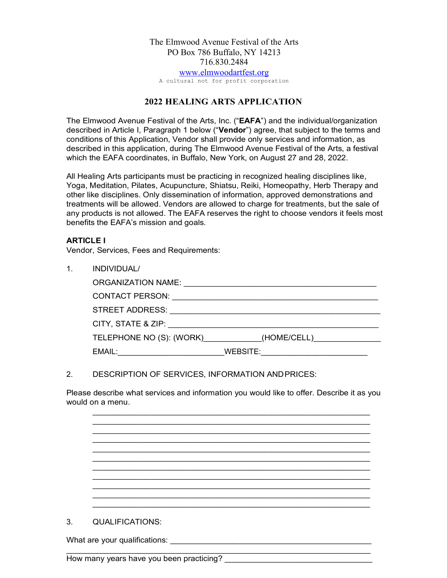# The Elmwood Avenue Festival of the Arts PO Box 786 Buffalo, NY 14213 716.830.2484 www.elmwoodartfest.org

A cultural not for profit corporation

## **2022 HEALING ARTS APPLICATION**

The Elmwood Avenue Festival of the Arts, Inc. ("**EAFA**") and the individual/organization described in Article I, Paragraph 1 below ("**Vendor**") agree, that subject to the terms and conditions of this Application, Vendor shall provide only services and information, as described in this application, during The Elmwood Avenue Festival of the Arts, a festival which the EAFA coordinates, in Buffalo, New York, on August 27 and 28, 2022.

All Healing Arts participants must be practicing in recognized healing disciplines like, Yoga, Meditation, Pilates, Acupuncture, Shiatsu, Reiki, Homeopathy, Herb Therapy and other like disciplines. Only dissemination of information, approved demonstrations and treatments will be allowed. Vendors are allowed to charge for treatments, but the sale of any products is not allowed. The EAFA reserves the right to choose vendors it feels most benefits the EAFA's mission and goals.

## **ARTICLE I**

Vendor, Services, Fees and Requirements:

| INDIVIDUAL/            |                                      |
|------------------------|--------------------------------------|
| ORGANIZATION NAME:     |                                      |
| <b>CONTACT PERSON:</b> |                                      |
|                        |                                      |
| CITY, STATE & ZIP:     |                                      |
|                        | TELEPHONE NO (S): (WORK) (HOME/CELL) |
| EMAIL:                 | WEBSITE:                             |

#### 2. DESCRIPTION OF SERVICES, INFORMATION ANDPRICES:

Please describe what services and information you would like to offer. Describe it as you would on a menu.

\_\_\_\_\_\_\_\_\_\_\_\_\_\_\_\_\_\_\_\_\_\_\_\_\_\_\_\_\_\_\_\_\_\_\_\_\_\_\_\_\_\_\_\_\_\_\_\_\_\_\_\_\_\_\_\_\_\_\_\_\_\_

\_\_\_\_\_\_\_\_\_\_\_\_\_\_\_\_\_\_\_\_\_\_\_\_\_\_\_\_\_\_\_\_\_\_\_\_\_\_\_\_\_\_\_\_\_\_\_\_\_\_\_\_\_\_\_\_\_\_\_\_\_\_ \_\_\_\_\_\_\_\_\_\_\_\_\_\_\_\_\_\_\_\_\_\_\_\_\_\_\_\_\_\_\_\_\_\_\_\_\_\_\_\_\_\_\_\_\_\_\_\_\_\_\_\_\_\_\_\_\_\_\_\_\_\_ \_\_\_\_\_\_\_\_\_\_\_\_\_\_\_\_\_\_\_\_\_\_\_\_\_\_\_\_\_\_\_\_\_\_\_\_\_\_\_\_\_\_\_\_\_\_\_\_\_\_\_\_\_\_\_\_\_\_\_\_\_\_ \_\_\_\_\_\_\_\_\_\_\_\_\_\_\_\_\_\_\_\_\_\_\_\_\_\_\_\_\_\_\_\_\_\_\_\_\_\_\_\_\_\_\_\_\_\_\_\_\_\_\_\_\_\_\_\_\_\_\_\_\_\_ \_\_\_\_\_\_\_\_\_\_\_\_\_\_\_\_\_\_\_\_\_\_\_\_\_\_\_\_\_\_\_\_\_\_\_\_\_\_\_\_\_\_\_\_\_\_\_\_\_\_\_\_\_\_\_\_\_\_\_\_\_\_ \_\_\_\_\_\_\_\_\_\_\_\_\_\_\_\_\_\_\_\_\_\_\_\_\_\_\_\_\_\_\_\_\_\_\_\_\_\_\_\_\_\_\_\_\_\_\_\_\_\_\_\_\_\_\_\_\_\_\_\_\_\_ \_\_\_\_\_\_\_\_\_\_\_\_\_\_\_\_\_\_\_\_\_\_\_\_\_\_\_\_\_\_\_\_\_\_\_\_\_\_\_\_\_\_\_\_\_\_\_\_\_\_\_\_\_\_\_\_\_\_\_\_\_\_ 3. QUALIFICATIONS: What are your qualifications: \_\_\_\_\_\_\_\_\_\_\_\_\_\_\_\_\_\_\_\_\_\_\_\_\_\_\_\_\_\_\_\_\_\_\_\_\_\_\_\_\_\_\_\_\_

How many years have you been practicing?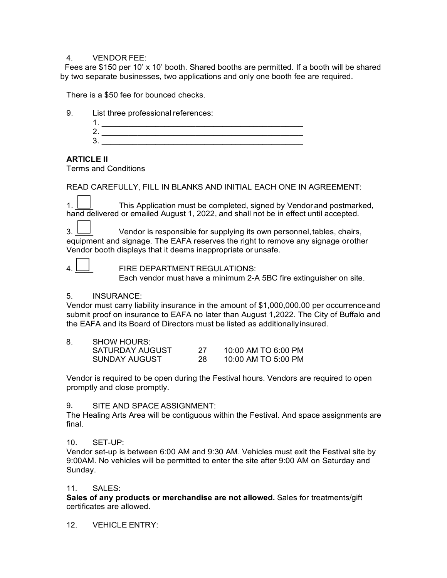#### 4. VENDOR FEE:

 Fees are \$150 per 10' x 10' booth. Shared booths are permitted. If a booth will be shared by two separate businesses, two applications and only one booth fee are required.

There is a \$50 fee for bounced checks.

| 9 | List three professional references: |  |  |
|---|-------------------------------------|--|--|
|   |                                     |  |  |
|   |                                     |  |  |
|   |                                     |  |  |
|   |                                     |  |  |

### **ARTICLE II**

Terms and Conditions

READ CAREFULLY, FILL IN BLANKS AND INITIAL EACH ONE IN AGREEMENT:

1.  $\Box$  This Application must be completed, signed by Vendorand postmarked, hand delivered or emailed August 1, 2022, and shall not be in effect until accepted.

3.  $\Box$  Vendor is responsible for supplying its own personnel, tables, chairs, equipment and signage. The EAFA reserves the right to remove any signage orother Vendor booth displays that it deems inappropriate or unsafe.

4.  $\Box$  FIRE DEPARTMENT REGULATIONS:

Each vendor must have a minimum 2-A 5BC fire extinguisher on site.

#### 5. INSURANCE:

Vendor must carry liability insurance in the amount of \$1,000,000.00 per occurrenceand submit proof on insurance to EAFA no later than August 1,2022. The City of Buffalo and the EAFA and its Board of Directors must be listed as additionallyinsured.

| <b>SHOW HOURS:</b> |    |                       |
|--------------------|----|-----------------------|
| SATURDAY AUGUST    |    | $10:00$ AM TO 6:00 PM |
| SUNDAY AUGUST      | 28 | 10:00 AM TO 5:00 PM   |

Vendor is required to be open during the Festival hours. Vendors are required to open promptly and close promptly.

9. SITE AND SPACE ASSIGNMENT:

The Healing Arts Area will be contiguous within the Festival. And space assignments are final.

10. SET-UP:

Vendor set-up is between 6:00 AM and 9:30 AM. Vehicles must exit the Festival site by 9:00AM. No vehicles will be permitted to enter the site after 9:00 AM on Saturday and Sunday.

#### 11. SALES:

**Sales of any products or merchandise are not allowed.** Sales for treatments/gift certificates are allowed.

#### 12. VEHICLE ENTRY: